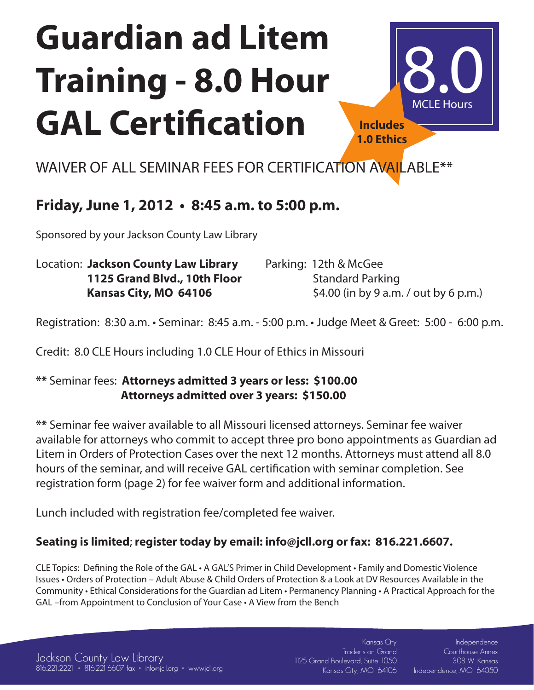# **Guardian ad Litem Training - 8.0 Hour GAL Certification**



WAIVER OF ALL SEMINAR FEES FOR CERTIFICATION AVAILABLE\*\*

### **Friday, June 1, 2012 • 8:45 a.m. to 5:00 p.m.**

Sponsored by your Jackson County Law Library

| Location: Jackson County Law Library | Parking: 12th & McGee                 |
|--------------------------------------|---------------------------------------|
| 1125 Grand Blvd., 10th Floor         | <b>Standard Parking</b>               |
| Kansas City, MO 64106                | \$4.00 (in by 9 a.m. / out by 6 p.m.) |

Registration: 8:30 a.m. • Seminar: 8:45 a.m. - 5:00 p.m. • Judge Meet & Greet: 5:00 - 6:00 p.m.

Credit: 8.0 CLE Hours including 1.0 CLE Hour of Ethics in Missouri

#### **\*\*** Seminar fees: **Attorneys admitted 3 years or less: \$100.00 Attorneys admitted over 3 years: \$150.00**

**\*\*** Seminar fee waiver available to all Missouri licensed attorneys. Seminar fee waiver available for attorneys who commit to accept three pro bono appointments as Guardian ad Litem in Orders of Protection Cases over the next 12 months. Attorneys must attend all 8.0 hours of the seminar, and will receive GAL certification with seminar completion. See registration form (page 2) for fee waiver form and additional information.

Lunch included with registration fee/completed fee waiver.

### **Seating is limited**; **register today by email: info@jcll.org or fax: 816.221.6607.**

CLE Topics: Defining the Role of the GAL • A GAL'S Primer in Child Development • Family and Domestic Violence Issues • Orders of Protection – Adult Abuse & Child Orders of Protection & a Look at DV Resources Available in the Community • Ethical Considerations for the Guardian ad Litem • Permanency Planning • A Practical Approach for the GAL –from Appointment to Conclusion of Your Case • A View from the Bench

816.221.2221 • 816.221.6607 fax • info@jcll.org • www.jcll.org Kansas City, MO 64106 Jackson County Law Library

Kansas City Trader's on Grand 1125 Grand Boulevard, Suite 1050

Independence Courthouse Annex 308 W. Kansas Independence, MO 64050